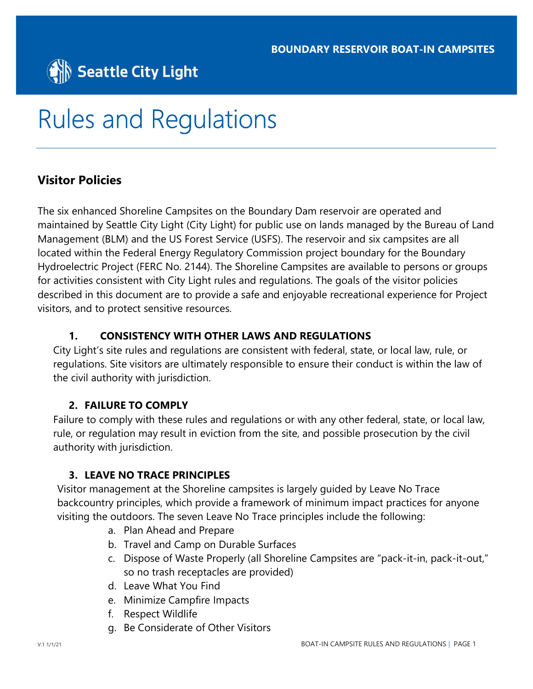

# Rules and Regulations

# Visitor Policies

The six enhanced Shoreline Campsites on the Boundary Dam reservoir are operated and maintained by Seattle City Light (City Light) for public use on lands managed by the Bureau of Land Management (BLM) and the US Forest Service (USFS). The reservoir and six campsites are all located within the Federal Energy Regulatory Commission project boundary for the Boundary Hydroelectric Project (FERC No. 2144). The Shoreline Campsites are available to persons or groups for activities consistent with City Light rules and regulations. The goals of the visitor policies described in this document are to provide a safe and enjoyable recreational experience for Project visitors, and to protect sensitive resources.

#### 1. CONSISTENCY WITH OTHER LAWS AND REGULATIONS

City Light's site rules and regulations are consistent with federal, state, or local law, rule, or regulations. Site visitors are ultimately responsible to ensure their conduct is within the law of the civil authority with jurisdiction.

#### 2. FAILURE TO COMPLY

Failure to comply with these rules and regulations or with any other federal, state, or local law, rule, or regulation may result in eviction from the site, and possible prosecution by the civil authority with jurisdiction.

#### 3. LEAVE NO TRACE PRINCIPLES

Visitor management at the Shoreline campsites is largely guided by Leave No Trace backcountry principles, which provide a framework of minimum impact practices for anyone visiting the outdoors. The seven Leave No Trace principles include the following:

- a. Plan Ahead and Prepare
- b. Travel and Camp on Durable Surfaces
- c. Dispose of Waste Properly (all Shoreline Campsites are "pack-it-in, pack-it-out," so no trash receptacles are provided)
- d. Leave What You Find
- e. Minimize Campfire Impacts
- f. Respect Wildlife
- g. Be Considerate of Other Visitors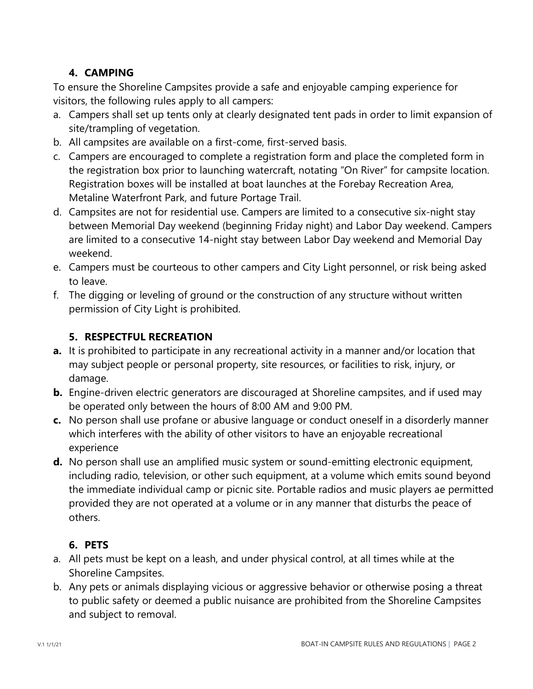# 4. CAMPING

To ensure the Shoreline Campsites provide a safe and enjoyable camping experience for visitors, the following rules apply to all campers:

- a. Campers shall set up tents only at clearly designated tent pads in order to limit expansion of site/trampling of vegetation.
- b. All campsites are available on a first-come, first-served basis.
- c. Campers are encouraged to complete a registration form and place the completed form in the registration box prior to launching watercraft, notating "On River" for campsite location. Registration boxes will be installed at boat launches at the Forebay Recreation Area, Metaline Waterfront Park, and future Portage Trail.
- d. Campsites are not for residential use. Campers are limited to a consecutive six-night stay between Memorial Day weekend (beginning Friday night) and Labor Day weekend. Campers are limited to a consecutive 14-night stay between Labor Day weekend and Memorial Day weekend.
- e. Campers must be courteous to other campers and City Light personnel, or risk being asked to leave.
- f. The digging or leveling of ground or the construction of any structure without written permission of City Light is prohibited.

# 5. RESPECTFUL RECREATION

- a. It is prohibited to participate in any recreational activity in a manner and/or location that may subject people or personal property, site resources, or facilities to risk, injury, or damage.
- **b.** Engine-driven electric generators are discouraged at Shoreline campsites, and if used may be operated only between the hours of 8:00 AM and 9:00 PM.
- c. No person shall use profane or abusive language or conduct oneself in a disorderly manner which interferes with the ability of other visitors to have an enjoyable recreational experience
- d. No person shall use an amplified music system or sound-emitting electronic equipment, including radio, television, or other such equipment, at a volume which emits sound beyond the immediate individual camp or picnic site. Portable radios and music players ae permitted provided they are not operated at a volume or in any manner that disturbs the peace of others.

# 6. PETS

- a. All pets must be kept on a leash, and under physical control, at all times while at the Shoreline Campsites.
- b. Any pets or animals displaying vicious or aggressive behavior or otherwise posing a threat to public safety or deemed a public nuisance are prohibited from the Shoreline Campsites and subject to removal.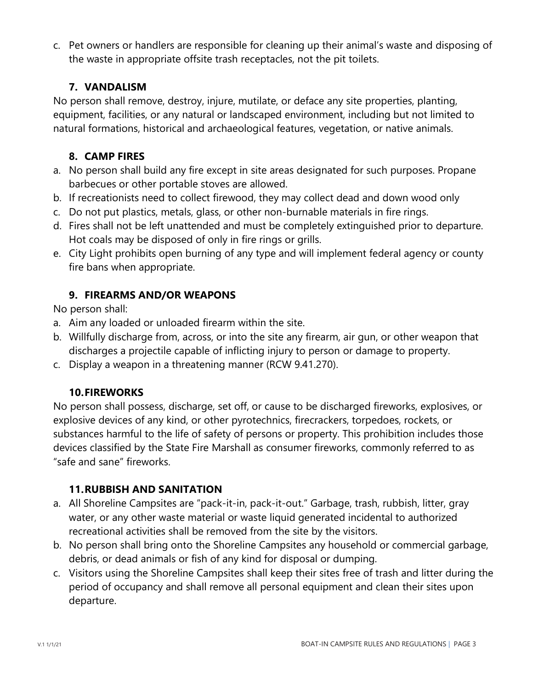c. Pet owners or handlers are responsible for cleaning up their animal's waste and disposing of the waste in appropriate offsite trash receptacles, not the pit toilets.

#### 7. VANDALISM

No person shall remove, destroy, injure, mutilate, or deface any site properties, planting, equipment, facilities, or any natural or landscaped environment, including but not limited to natural formations, historical and archaeological features, vegetation, or native animals.

# 8. CAMP FIRES

- a. No person shall build any fire except in site areas designated for such purposes. Propane barbecues or other portable stoves are allowed.
- b. If recreationists need to collect firewood, they may collect dead and down wood only
- c. Do not put plastics, metals, glass, or other non-burnable materials in fire rings.
- d. Fires shall not be left unattended and must be completely extinguished prior to departure. Hot coals may be disposed of only in fire rings or grills.
- e. City Light prohibits open burning of any type and will implement federal agency or county fire bans when appropriate.

# 9. FIREARMS AND/OR WEAPONS

No person shall:

- a. Aim any loaded or unloaded firearm within the site.
- b. Willfully discharge from, across, or into the site any firearm, air gun, or other weapon that discharges a projectile capable of inflicting injury to person or damage to property.
- c. Display a weapon in a threatening manner (RCW 9.41.270).

#### 10.FIREWORKS

No person shall possess, discharge, set off, or cause to be discharged fireworks, explosives, or explosive devices of any kind, or other pyrotechnics, firecrackers, torpedoes, rockets, or substances harmful to the life of safety of persons or property. This prohibition includes those devices classified by the State Fire Marshall as consumer fireworks, commonly referred to as "safe and sane" fireworks.

#### 11.RUBBISH AND SANITATION

- a. All Shoreline Campsites are "pack-it-in, pack-it-out." Garbage, trash, rubbish, litter, gray water, or any other waste material or waste liquid generated incidental to authorized recreational activities shall be removed from the site by the visitors.
- b. No person shall bring onto the Shoreline Campsites any household or commercial garbage, debris, or dead animals or fish of any kind for disposal or dumping.
- c. Visitors using the Shoreline Campsites shall keep their sites free of trash and litter during the period of occupancy and shall remove all personal equipment and clean their sites upon departure.